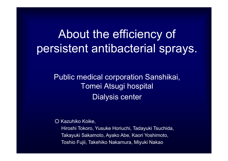## About the efficiency of persistent antibacterial sprays.

Public medical corporation Sanshikai, Tomei Atsugi hospital Dialysis center

○ Kazuhiko Koike,

Hiroshi Tokoro, Yusuke Horiuchi, Tadayuki Tsuchida, Takayuki Sakamoto, Ayako Abe, Kaori Yoshimoto, Toshio Fujii, Takehiko Nakamura, Miyuki Nakao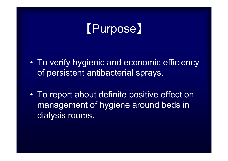# 【Purpose】

- $\bullet$  To verify hygienic and economic efficiency of persistent antibacterial sprays.
- $\bullet$ To report about definite positive effect on management of hygiene around beds in dialysis rooms.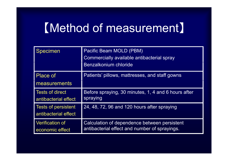## 【Method of measurement】

| <b>Specimen</b>                                    | Pacific Beam MOLD (PBM)<br>Commercially available antibacterial spray<br>Benzalkonium chloride |
|----------------------------------------------------|------------------------------------------------------------------------------------------------|
| <b>Place of</b><br>measurements                    | Patients' pillows, mattresses, and staff gowns                                                 |
| <b>Tests of direct</b><br>antibacterial effect     | Before spraying, 30 minutes, 1, 4 and 6 hours after<br>spraying                                |
| <b>Tests of persistent</b><br>antibacterial effect | 24, 48, 72, 96 and 120 hours after spraying                                                    |
| <b>Verification of</b><br>economic effect          | Calculation of dependence between persistent<br>antibacterial effect and number of sprayings.  |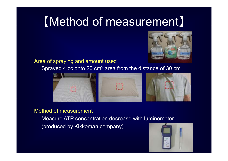## 【Method of measurement 】



Area of spraying and amount used

Sprayed 4 cc onto 20 cm2 area from the distance of 30 cm



#### Method of measurement

Measure ATP concentration decrease with luminometer (produced by Kikkoman company)

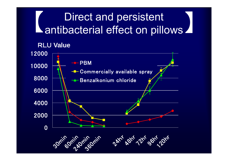## Direct and persistent  $\begin{array}{|l|} \hline \textbf{L} & \textbf{Direct and persistent} \\ \hline \textbf{antibacterial effect on pilows} \hline \end{array}$

RLU **V l Value**

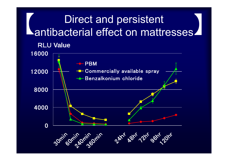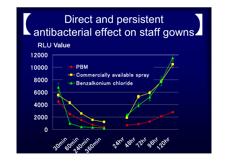# Direct and persistent **Lantibacterial effect on staff gowns.**

RLU **V l Value**

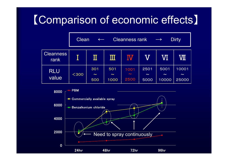## 【Comparison of economic effects】 p

|                          | <b>Cleanness rank</b><br><b>Dirty</b><br>Clean<br>$\leftarrow$<br>$\longrightarrow$ |                      |                       |                        |                        |                         |                          |  |  |
|--------------------------|-------------------------------------------------------------------------------------|----------------------|-----------------------|------------------------|------------------------|-------------------------|--------------------------|--|--|
| <b>Cleanness</b><br>rank |                                                                                     |                      | Ш                     | IŴ                     |                        | <b>VI</b>               | <b>VII</b>               |  |  |
| <b>RLU</b><br>value      | $300$                                                                               | 301<br>$\sim$<br>500 | 501<br>$\sim$<br>1000 | 1001<br>$\sim$<br>2500 | 2501<br>$\sim$<br>5000 | 5001<br>$\sim$<br>10000 | 10001<br>$\sim$<br>25000 |  |  |

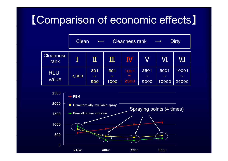## 【Comparison of economic effects】

|                          | <b>Dirty</b><br><b>Cleanness rank</b><br>Clean<br>$\longrightarrow$<br>$\leftarrow$ |                      |                       |                        |                        |                         |                          |  |
|--------------------------|-------------------------------------------------------------------------------------|----------------------|-----------------------|------------------------|------------------------|-------------------------|--------------------------|--|
| <b>Cleanness</b><br>rank |                                                                                     | $\rm\,II$            | Ш                     | $\overline{\rm N}$     |                        | VI                      | VШ                       |  |
| <b>RLU</b><br>value      | $300$                                                                               | 301<br>$\sim$<br>500 | 501<br>$\sim$<br>1000 | 1001<br>$\sim$<br>2500 | 2501<br>$\sim$<br>5000 | 5001<br>$\sim$<br>10000 | 10001<br>$\sim$<br>25000 |  |

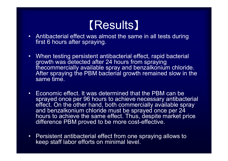## 【Results】

- Antibacterial effect was almost the same in all tests during first 6 hours after spraying.
- • When testing persistent antibacterial effect, rapid bacterial growth was detected after 24 hours from spraying thecommercially available spray and benzalkonium chloride. After spraying the PBM bacterial growth remained slow in the same time.
- Economic effect. It was determined that the PBM can be sprayed once per 96 hours to achieve necessary antibacterial effect. On the other hand, both commercially available spray and benzalkonium chloride must be sprayed once per 24 hours to achieve the same effect. Thus, despite market price difference PBM proved to be more cost-effective.
- Persistent antibacterial effect from one spraying allows to keep staff labor efforts on minimal level.